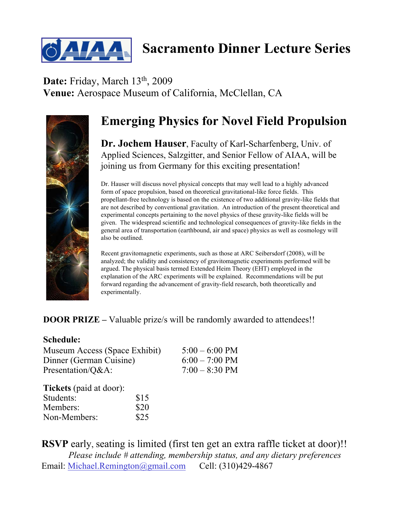

## **Sacramento Dinner Lecture Series**

**Date:** Friday, March 13th, 2009 **Venue:** Aerospace Museum of California, McClellan, CA



## **Emerging Physics for Novel Field Propulsion**

**Dr. Jochem Hauser**, Faculty of Karl-Scharfenberg, Univ. of Applied Sciences, Salzgitter, and Senior Fellow of AIAA, will be joining us from Germany for this exciting presentation!

Dr. Hauser will discuss novel physical concepts that may well lead to a highly advanced form of space propulsion, based on theoretical gravitational-like force fields. This propellant-free technology is based on the existence of two additional gravity-like fields that are not described by conventional gravitation. An introduction of the present theoretical and experimental concepts pertaining to the novel physics of these gravity-like fields will be given. The widespread scientific and technological consequences of gravity-like fields in the general area of transportation (earthbound, air and space) physics as well as cosmology will also be outlined.

Recent gravitomagnetic experiments, such as those at ARC Seibersdorf (2008), will be analyzed; the validity and consistency of gravitomagnetic experiments performed will be argued. The physical basis termed Extended Heim Theory (EHT) employed in the explanation of the ARC experiments will be explained. Recommendations will be put forward regarding the advancement of gravity-field research, both theoretically and experimentally.

## **DOOR PRIZE** – Valuable prize/s will be randomly awarded to attendees!!

## **Schedule:**

Museum Access (Space Exhibit) 5:00 – 6:00 PM Dinner (German Cuisine) 6:00 – 7:00 PM Presentation/ $Q&A$ :  $7:00-8:30 \text{ PM}$ 

| <b>Tickets</b> (paid at door): |      |
|--------------------------------|------|
| Students:                      | \$15 |
| Members:                       | \$20 |
| Non-Members:                   | \$25 |

**RSVP** early, seating is limited (first ten get an extra raffle ticket at door)!! *Please include # attending, membership status, and any dietary preferences* Email: Michael.Remington@gmail.com Cell: (310)429-4867